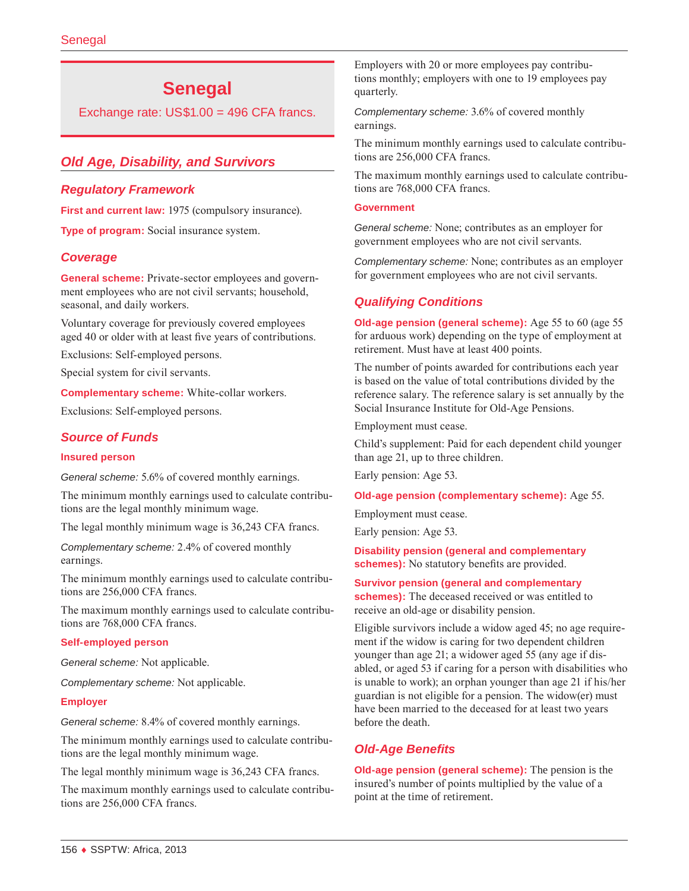# **Senegal**

Exchange rate: US\$1.00 = 496 CFA francs.

# *Old Age, Disability, and Survivors*

#### *Regulatory Framework*

First and current law: 1975 (compulsory insurance).

**Type of program:** Social insurance system.

#### *Coverage*

**General scheme:** Private-sector employees and government employees who are not civil servants; household, seasonal, and daily workers.

Voluntary coverage for previously covered employees aged 40 or older with at least five years of contributions.

Exclusions: Self-employed persons.

Special system for civil servants.

**Complementary scheme:** White-collar workers.

Exclusions: Self-employed persons.

#### *Source of Funds*

#### **Insured person**

*General scheme:* 5.6% of covered monthly earnings.

The minimum monthly earnings used to calculate contributions are the legal monthly minimum wage.

The legal monthly minimum wage is 36,243 CFA francs.

*Complementary scheme:* 2.4% of covered monthly earnings.

The minimum monthly earnings used to calculate contributions are 256,000 CFA francs.

The maximum monthly earnings used to calculate contributions are 768,000 CFA francs.

#### **Self-employed person**

*General scheme:* Not applicable.

*Complementary scheme:* Not applicable.

#### **Employer**

*General scheme:* 8.4% of covered monthly earnings.

The minimum monthly earnings used to calculate contributions are the legal monthly minimum wage.

The legal monthly minimum wage is 36,243 CFA francs.

The maximum monthly earnings used to calculate contributions are 256,000 CFA francs.

Employers with 20 or more employees pay contributions monthly; employers with one to 19 employees pay quarterly.

*Complementary scheme:* 3.6% of covered monthly earnings.

The minimum monthly earnings used to calculate contributions are 256,000 CFA francs.

The maximum monthly earnings used to calculate contributions are 768,000 CFA francs.

#### **Government**

*General scheme:* None; contributes as an employer for government employees who are not civil servants.

*Complementary scheme:* None; contributes as an employer for government employees who are not civil servants.

# *Qualifying Conditions*

**Old-age pension (general scheme):** Age 55 to 60 (age 55 for arduous work) depending on the type of employment at retirement. Must have at least 400 points.

The number of points awarded for contributions each year is based on the value of total contributions divided by the reference salary. The reference salary is set annually by the Social Insurance Institute for Old-Age Pensions.

Employment must cease.

Child's supplement: Paid for each dependent child younger than age 21, up to three children.

Early pension: Age 53.

#### **Old-age pension (complementary scheme):** Age 55.

Employment must cease.

Early pension: Age 53.

**Disability pension (general and complementary schemes):** No statutory benefits are provided.

**Survivor pension (general and complementary schemes):** The deceased received or was entitled to receive an old-age or disability pension.

Eligible survivors include a widow aged 45; no age requirement if the widow is caring for two dependent children younger than age 21; a widower aged 55 (any age if disabled, or aged 53 if caring for a person with disabilities who is unable to work); an orphan younger than age 21 if his/her guardian is not eligible for a pension. The widow(er) must have been married to the deceased for at least two years before the death.

### *Old-Age Benefits*

**Old-age pension (general scheme):** The pension is the insured's number of points multiplied by the value of a point at the time of retirement.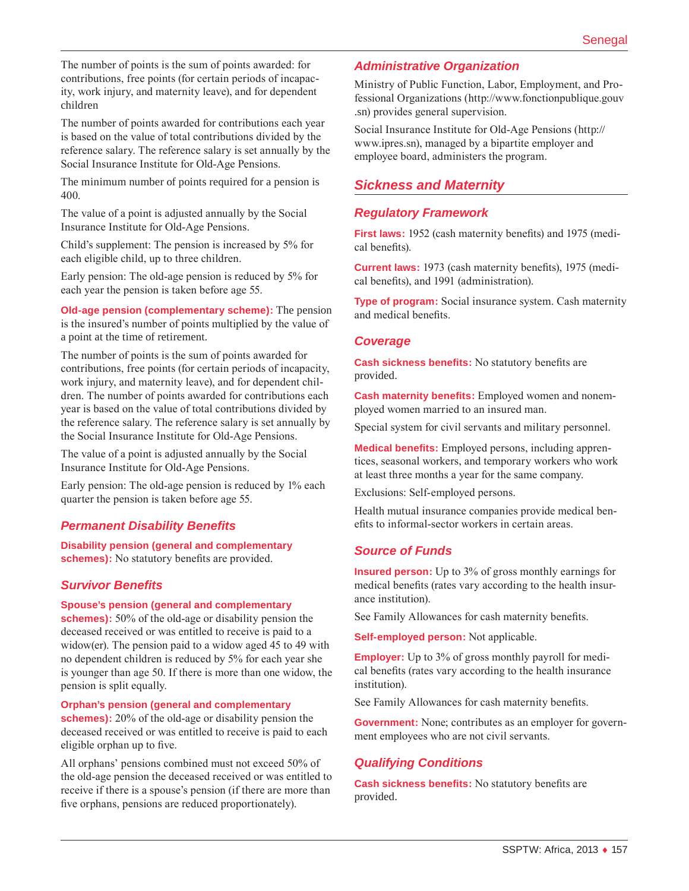The number of points is the sum of points awarded: for contributions, free points (for certain periods of incapacity, work injury, and maternity leave), and for dependent children

The number of points awarded for contributions each year is based on the value of total contributions divided by the reference salary. The reference salary is set annually by the Social Insurance Institute for Old-Age Pensions.

The minimum number of points required for a pension is 400.

The value of a point is adjusted annually by the Social Insurance Institute for Old-Age Pensions.

Child's supplement: The pension is increased by 5% for each eligible child, up to three children.

Early pension: The old-age pension is reduced by 5% for each year the pension is taken before age 55.

**Old-age pension (complementary scheme):** The pension is the insured's number of points multiplied by the value of a point at the time of retirement.

The number of points is the sum of points awarded for contributions, free points (for certain periods of incapacity, work injury, and maternity leave), and for dependent children. The number of points awarded for contributions each year is based on the value of total contributions divided by the reference salary. The reference salary is set annually by the Social Insurance Institute for Old-Age Pensions.

The value of a point is adjusted annually by the Social Insurance Institute for Old-Age Pensions.

Early pension: The old-age pension is reduced by 1% each quarter the pension is taken before age 55.

### *Permanent Disability Benefits*

**Disability pension (general and complementary schemes):** No statutory benefits are provided.

### *Survivor Benefits*

**Spouse's pension (general and complementary** 

**schemes):** 50% of the old-age or disability pension the deceased received or was entitled to receive is paid to a widow(er). The pension paid to a widow aged 45 to 49 with no dependent children is reduced by 5% for each year she is younger than age 50. If there is more than one widow, the pension is split equally.

#### **Orphan's pension (general and complementary**

**schemes):** 20% of the old-age or disability pension the deceased received or was entitled to receive is paid to each eligible orphan up to five.

All orphans' pensions combined must not exceed 50% of the old-age pension the deceased received or was entitled to receive if there is a spouse's pension (if there are more than five orphans, pensions are reduced proportionately).

#### *Administrative Organization*

Ministry of Public Function, Labor, Employment, and Professional Organizations [\(http://www.fonctionpublique.gouv](http://www.fonctionpublique.gouv.sn) [.sn](http://www.fonctionpublique.gouv.sn)) provides general supervision.

Social Insurance Institute for Old-Age Pensions ([http://](http://www.ipres.sn) [www.ipres.sn\)](http://www.ipres.sn), managed by a bipartite employer and employee board, administers the program.

#### *Sickness and Maternity*

#### *Regulatory Framework*

**First laws:** 1952 (cash maternity benefits) and 1975 (medical benefits).

**Current laws:** 1973 (cash maternity benefits), 1975 (medical benefits), and 1991 (administration).

**Type of program:** Social insurance system. Cash maternity and medical benefits.

#### *Coverage*

**Cash sickness benefits:** No statutory benefits are provided.

**Cash maternity benefits:** Employed women and nonemployed women married to an insured man.

Special system for civil servants and military personnel.

**Medical benefits:** Employed persons, including apprentices, seasonal workers, and temporary workers who work at least three months a year for the same company.

Exclusions: Self-employed persons.

Health mutual insurance companies provide medical benefits to informal-sector workers in certain areas.

### *Source of Funds*

**Insured person:** Up to 3% of gross monthly earnings for medical benefits (rates vary according to the health insurance institution).

See Family Allowances for cash maternity benefits.

**Self-employed person:** Not applicable.

**Employer:** Up to 3% of gross monthly payroll for medical benefits (rates vary according to the health insurance institution).

See Family Allowances for cash maternity benefits.

**Government:** None; contributes as an employer for government employees who are not civil servants.

#### *Qualifying Conditions*

**Cash sickness benefits:** No statutory benefits are provided.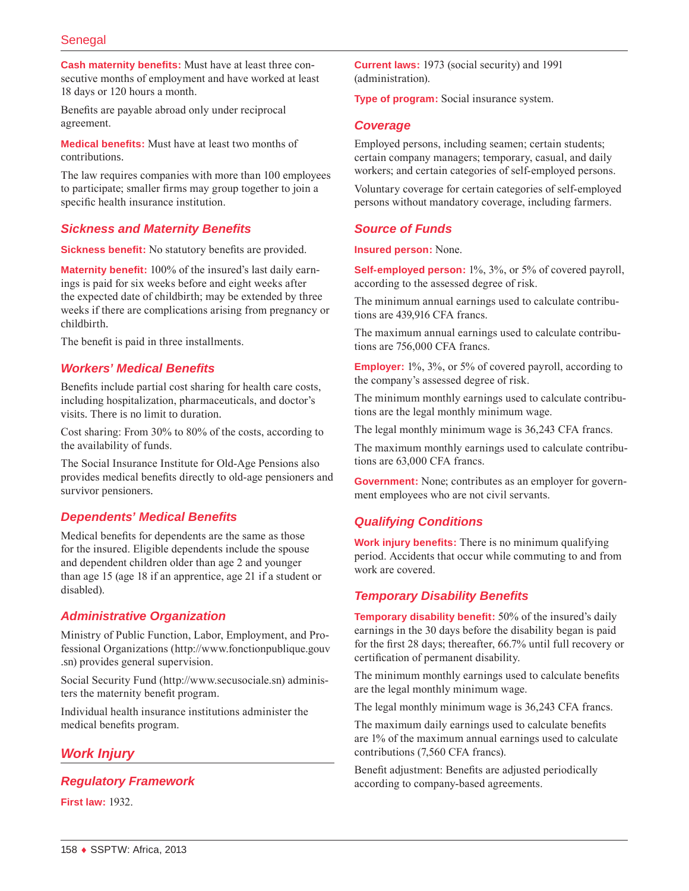**Cash maternity benefits:** Must have at least three consecutive months of employment and have worked at least 18 days or 120 hours a month.

Benefits are payable abroad only under reciprocal agreement.

**Medical benefits:** Must have at least two months of contributions.

The law requires companies with more than 100 employees to participate; smaller firms may group together to join a specific health insurance institution.

## *Sickness and Maternity Benefits*

**Sickness benefit:** No statutory benefits are provided.

**Maternity benefit:** 100% of the insured's last daily earnings is paid for six weeks before and eight weeks after the expected date of childbirth; may be extended by three weeks if there are complications arising from pregnancy or childbirth.

The benefit is paid in three installments.

### *Workers' Medical Benefits*

Benefits include partial cost sharing for health care costs, including hospitalization, pharmaceuticals, and doctor's visits. There is no limit to duration.

Cost sharing: From 30% to 80% of the costs, according to the availability of funds.

The Social Insurance Institute for Old-Age Pensions also provides medical benefits directly to old-age pensioners and survivor pensioners.

### *Dependents' Medical Benefits*

Medical benefits for dependents are the same as those for the insured. Eligible dependents include the spouse and dependent children older than age 2 and younger than age 15 (age 18 if an apprentice, age 21 if a student or disabled).

### *Administrative Organization*

Ministry of Public Function, Labor, Employment, and Professional Organizations [\(http://www.fonctionpublique.gouv](http://www.fonctionpublique.gouv.sn) [.sn](http://www.fonctionpublique.gouv.sn)) provides general supervision.

Social Security Fund [\(http://www.secusociale.sn](http://www.secusociale.sn)) administers the maternity benefit program.

Individual health insurance institutions administer the medical benefits program.

# *Work Injury*

*Regulatory Framework*

**First law:** 1932.

**Current laws:** 1973 (social security) and 1991 (administration).

**Type of program:** Social insurance system.

#### *Coverage*

Employed persons, including seamen; certain students; certain company managers; temporary, casual, and daily workers; and certain categories of self-employed persons.

Voluntary coverage for certain categories of self-employed persons without mandatory coverage, including farmers.

# *Source of Funds*

**Insured person:** None.

**Self-employed person:** 1%, 3%, or 5% of covered payroll, according to the assessed degree of risk.

The minimum annual earnings used to calculate contributions are 439,916 CFA francs.

The maximum annual earnings used to calculate contributions are 756,000 CFA francs.

**Employer:** 1%, 3%, or 5% of covered payroll, according to the company's assessed degree of risk.

The minimum monthly earnings used to calculate contributions are the legal monthly minimum wage.

The legal monthly minimum wage is 36,243 CFA francs.

The maximum monthly earnings used to calculate contributions are 63,000 CFA francs.

**Government:** None; contributes as an employer for government employees who are not civil servants.

### *Qualifying Conditions*

**Work injury benefits:** There is no minimum qualifying period. Accidents that occur while commuting to and from work are covered.

### *Temporary Disability Benefits*

**Temporary disability benefit:** 50% of the insured's daily earnings in the 30 days before the disability began is paid for the first 28 days; thereafter, 66.7% until full recovery or certification of permanent disability.

The minimum monthly earnings used to calculate benefits are the legal monthly minimum wage.

The legal monthly minimum wage is 36,243 CFA francs.

The maximum daily earnings used to calculate benefits are 1% of the maximum annual earnings used to calculate contributions (7,560 CFA francs).

Benefit adjustment: Benefits are adjusted periodically according to company-based agreements.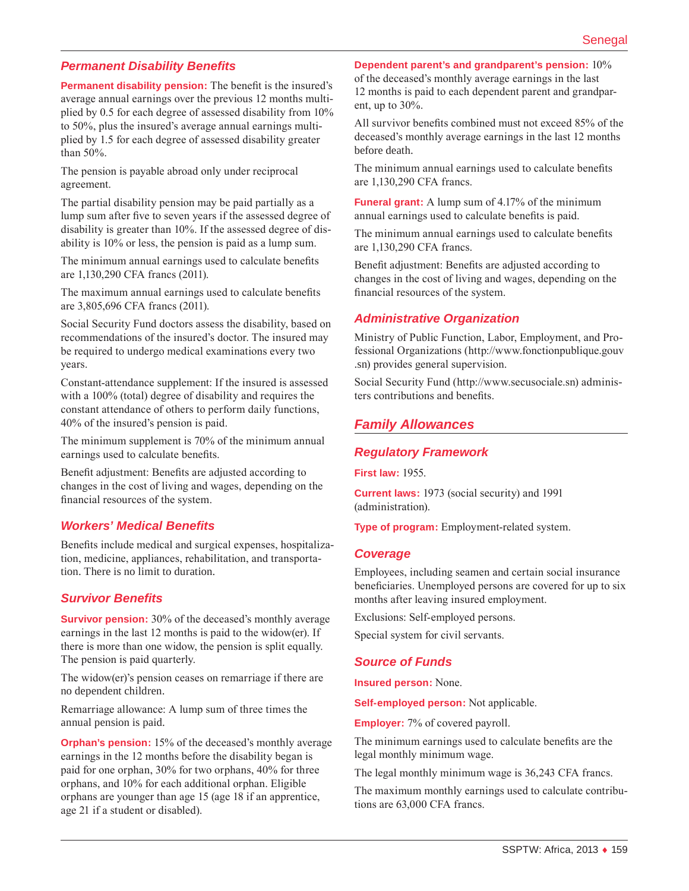### *Permanent Disability Benefits*

**Permanent disability pension:** The benefit is the insured's average annual earnings over the previous 12 months multiplied by 0.5 for each degree of assessed disability from 10% to 50%, plus the insured's average annual earnings multiplied by 1.5 for each degree of assessed disability greater than 50%.

The pension is payable abroad only under reciprocal agreement.

The partial disability pension may be paid partially as a lump sum after five to seven years if the assessed degree of disability is greater than 10%. If the assessed degree of disability is 10% or less, the pension is paid as a lump sum.

The minimum annual earnings used to calculate benefits are 1,130,290 CFA francs (2011).

The maximum annual earnings used to calculate benefits are 3,805,696 CFA francs (2011).

Social Security Fund doctors assess the disability, based on recommendations of the insured's doctor. The insured may be required to undergo medical examinations every two years.

Constant-attendance supplement: If the insured is assessed with a 100% (total) degree of disability and requires the constant attendance of others to perform daily functions, 40% of the insured's pension is paid.

The minimum supplement is 70% of the minimum annual earnings used to calculate benefits.

Benefit adjustment: Benefits are adjusted according to changes in the cost of living and wages, depending on the financial resources of the system.

### *Workers' Medical Benefits*

Benefits include medical and surgical expenses, hospitalization, medicine, appliances, rehabilitation, and transportation. There is no limit to duration.

#### *Survivor Benefits*

**Survivor pension:** 30% of the deceased's monthly average earnings in the last 12 months is paid to the widow(er). If there is more than one widow, the pension is split equally. The pension is paid quarterly.

The widow(er)'s pension ceases on remarriage if there are no dependent children.

Remarriage allowance: A lump sum of three times the annual pension is paid.

**Orphan's pension:** 15% of the deceased's monthly average earnings in the 12 months before the disability began is paid for one orphan, 30% for two orphans, 40% for three orphans, and 10% for each additional orphan. Eligible orphans are younger than age 15 (age 18 if an apprentice, age 21 if a student or disabled).

**Dependent parent's and grandparent's pension:** 10%

of the deceased's monthly average earnings in the last 12 months is paid to each dependent parent and grandparent, up to 30%.

All survivor benefits combined must not exceed 85% of the deceased's monthly average earnings in the last 12 months before death.

The minimum annual earnings used to calculate benefits are 1,130,290 CFA francs.

**Funeral grant:** A lump sum of 4.17% of the minimum annual earnings used to calculate benefits is paid.

The minimum annual earnings used to calculate benefits are 1,130,290 CFA francs.

Benefit adjustment: Benefits are adjusted according to changes in the cost of living and wages, depending on the financial resources of the system.

#### *Administrative Organization*

Ministry of Public Function, Labor, Employment, and Professional Organizations [\(http://www.fonctionpublique.gouv](http://www.fonctionpublique.gouv.sn) [.sn](http://www.fonctionpublique.gouv.sn)) provides general supervision.

Social Security Fund [\(http://www.secusociale.sn](http://www.secusociale.sn)) administers contributions and benefits.

### *Family Allowances*

#### *Regulatory Framework*

**First law:** 1955.

**Current laws:** 1973 (social security) and 1991 (administration).

**Type of program:** Employment-related system.

#### *Coverage*

Employees, including seamen and certain social insurance beneficiaries. Unemployed persons are covered for up to six months after leaving insured employment.

Exclusions: Self-employed persons.

Special system for civil servants.

#### *Source of Funds*

**Insured person:** None.

**Self-employed person:** Not applicable.

**Employer:** 7% of covered payroll.

The minimum earnings used to calculate benefits are the legal monthly minimum wage.

The legal monthly minimum wage is 36,243 CFA francs.

The maximum monthly earnings used to calculate contributions are 63,000 CFA francs.